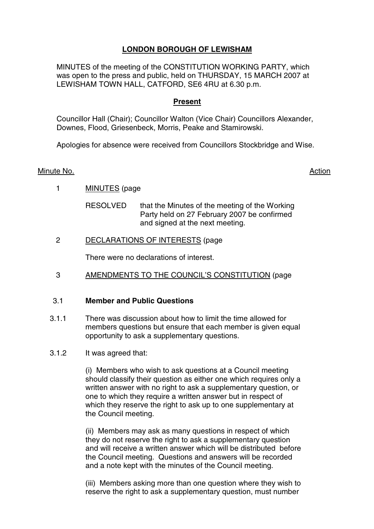# **LONDON BOROUGH OF LEWISHAM**

MINUTES of the meeting of the CONSTITUTION WORKING PARTY, which was open to the press and public, held on THURSDAY, 15 MARCH 2007 at LEWISHAM TOWN HALL, CATFORD, SE6 4RU at 6.30 p.m.

# **Present**

Councillor Hall (Chair); Councillor Walton (Vice Chair) Councillors Alexander, Downes, Flood, Griesenbeck, Morris, Peake and Stamirowski.

Apologies for absence were received from Councillors Stockbridge and Wise.

# Minute No. **Action**

- 1 MINUTES (page
	- RESOLVED that the Minutes of the meeting of the Working Party held on 27 February 2007 be confirmed and signed at the next meeting.
- 2 DECLARATIONS OF INTERESTS (page

There were no declarations of interest.

3 AMENDMENTS TO THE COUNCIL'S CONSTITUTION (page

# 3.1 **Member and Public Questions**

- 3.1.1 There was discussion about how to limit the time allowed for members questions but ensure that each member is given equal opportunity to ask a supplementary questions.
- 3.1.2 It was agreed that:

(i) Members who wish to ask questions at a Council meeting should classify their question as either one which requires only a written answer with no right to ask a supplementary question, or one to which they require a written answer but in respect of which they reserve the right to ask up to one supplementary at the Council meeting.

(ii) Members may ask as many questions in respect of which they do not reserve the right to ask a supplementary question and will receive a written answer which will be distributed before the Council meeting. Questions and answers will be recorded and a note kept with the minutes of the Council meeting.

(iii) Members asking more than one question where they wish to reserve the right to ask a supplementary question, must number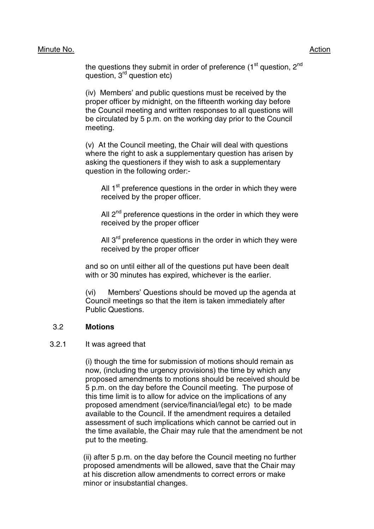## Minute No. 2008 2012 2022 2023 2024 2022 2022 2023 2024 2022 2023 2024 2022 2023 2024 2022 2023 2024 2022 2023

the questions they submit in order of preference  $(1<sup>st</sup>$  question,  $2<sup>nd</sup>$ question, 3rd question etc)

(iv) Members' and public questions must be received by the proper officer by midnight, on the fifteenth working day before the Council meeting and written responses to all questions will be circulated by 5 p.m. on the working day prior to the Council meeting.

(v) At the Council meeting, the Chair will deal with questions where the right to ask a supplementary question has arisen by asking the questioners if they wish to ask a supplementary question in the following order:-

All  $1<sup>st</sup>$  preference questions in the order in which they were received by the proper officer.

All  $2^{nd}$  preference questions in the order in which they were received by the proper officer

All  $3<sup>rd</sup>$  preference questions in the order in which they were received by the proper officer

and so on until either all of the questions put have been dealt with or 30 minutes has expired, whichever is the earlier.

(vi) Members' Questions should be moved up the agenda at Council meetings so that the item is taken immediately after Public Questions.

#### 3.2 **Motions**

#### 3.2.1 It was agreed that

(i) though the time for submission of motions should remain as now, (including the urgency provisions) the time by which any proposed amendments to motions should be received should be 5 p.m. on the day before the Council meeting. The purpose of this time limit is to allow for advice on the implications of any proposed amendment (service/financial/legal etc) to be made available to the Council. If the amendment requires a detailed assessment of such implications which cannot be carried out in the time available, the Chair may rule that the amendment be not put to the meeting.

(ii) after 5 p.m. on the day before the Council meeting no further proposed amendments will be allowed, save that the Chair may at his discretion allow amendments to correct errors or make minor or insubstantial changes.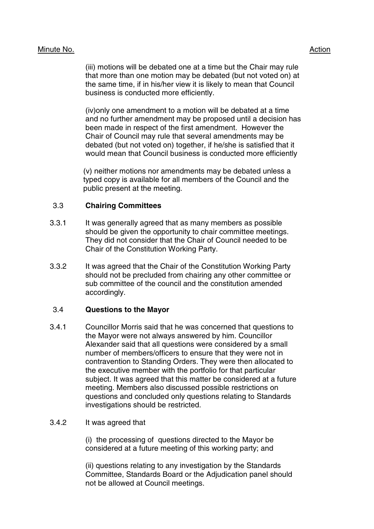# Minute No. 2008 2012 2022 2023 2024 2022 2022 2023 2024 2022 2023 2024 2022 2023 2024 2022 2023 2024 2022 2023

(iii) motions will be debated one at a time but the Chair may rule that more than one motion may be debated (but not voted on) at the same time, if in his/her view it is likely to mean that Council business is conducted more efficiently.

(iv)only one amendment to a motion will be debated at a time and no further amendment may be proposed until a decision has been made in respect of the first amendment. However the Chair of Council may rule that several amendments may be debated (but not voted on) together, if he/she is satisfied that it would mean that Council business is conducted more efficiently

(v) neither motions nor amendments may be debated unless a typed copy is available for all members of the Council and the public present at the meeting.

# 3.3 **Chairing Committees**

- 3.3.1 It was generally agreed that as many members as possible should be given the opportunity to chair committee meetings. They did not consider that the Chair of Council needed to be Chair of the Constitution Working Party.
- 3.3.2 It was agreed that the Chair of the Constitution Working Party should not be precluded from chairing any other committee or sub committee of the council and the constitution amended accordingly.

#### 3.4 **Questions to the Mayor**

3.4.1 Councillor Morris said that he was concerned that questions to the Mayor were not always answered by him. Councillor Alexander said that all questions were considered by a small number of members/officers to ensure that they were not in contravention to Standing Orders. They were then allocated to the executive member with the portfolio for that particular subject. It was agreed that this matter be considered at a future meeting. Members also discussed possible restrictions on questions and concluded only questions relating to Standards investigations should be restricted.

#### 3.4.2 It was agreed that

(i) the processing of questions directed to the Mayor be considered at a future meeting of this working party; and

(ii) questions relating to any investigation by the Standards Committee, Standards Board or the Adjudication panel should not be allowed at Council meetings.